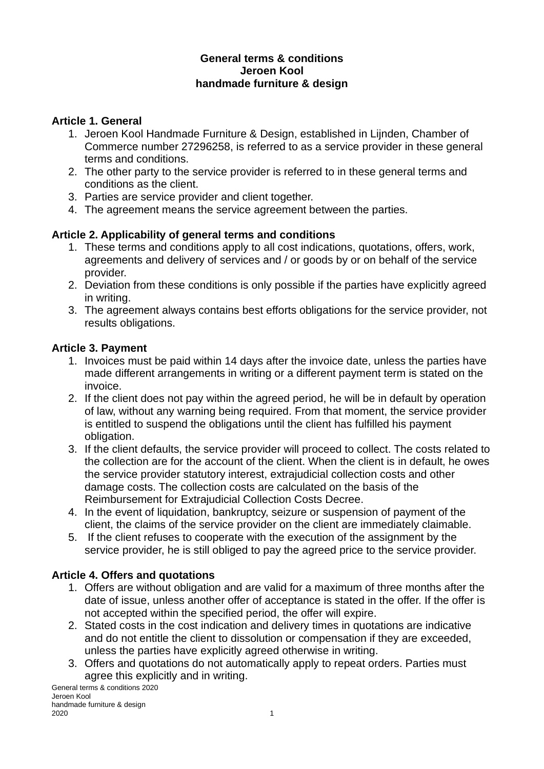#### **General terms & conditions Jeroen Kool handmade furniture & design**

#### **Article 1. General**

- 1. Jeroen Kool Handmade Furniture & Design, established in Lijnden, Chamber of Commerce number 27296258, is referred to as a service provider in these general terms and conditions.
- 2. The other party to the service provider is referred to in these general terms and conditions as the client.
- 3. Parties are service provider and client together.
- 4. The agreement means the service agreement between the parties.

### **Article 2. Applicability of general terms and conditions**

- 1. These terms and conditions apply to all cost indications, quotations, offers, work, agreements and delivery of services and / or goods by or on behalf of the service provider.
- 2. Deviation from these conditions is only possible if the parties have explicitly agreed in writing.
- 3. The agreement always contains best efforts obligations for the service provider, not results obligations.

#### **Article 3. Payment**

- 1. Invoices must be paid within 14 days after the invoice date, unless the parties have made different arrangements in writing or a different payment term is stated on the invoice.
- 2. If the client does not pay within the agreed period, he will be in default by operation of law, without any warning being required. From that moment, the service provider is entitled to suspend the obligations until the client has fulfilled his payment obligation.
- 3. If the client defaults, the service provider will proceed to collect. The costs related to the collection are for the account of the client. When the client is in default, he owes the service provider statutory interest, extrajudicial collection costs and other damage costs. The collection costs are calculated on the basis of the Reimbursement for Extrajudicial Collection Costs Decree.
- 4. In the event of liquidation, bankruptcy, seizure or suspension of payment of the client, the claims of the service provider on the client are immediately claimable.
- 5. If the client refuses to cooperate with the execution of the assignment by the service provider, he is still obliged to pay the agreed price to the service provider.

### **Article 4. Offers and quotations**

- 1. Offers are without obligation and are valid for a maximum of three months after the date of issue, unless another offer of acceptance is stated in the offer. If the offer is not accepted within the specified period, the offer will expire.
- 2. Stated costs in the cost indication and delivery times in quotations are indicative and do not entitle the client to dissolution or compensation if they are exceeded, unless the parties have explicitly agreed otherwise in writing.
- 3. Offers and quotations do not automatically apply to repeat orders. Parties must agree this explicitly and in writing.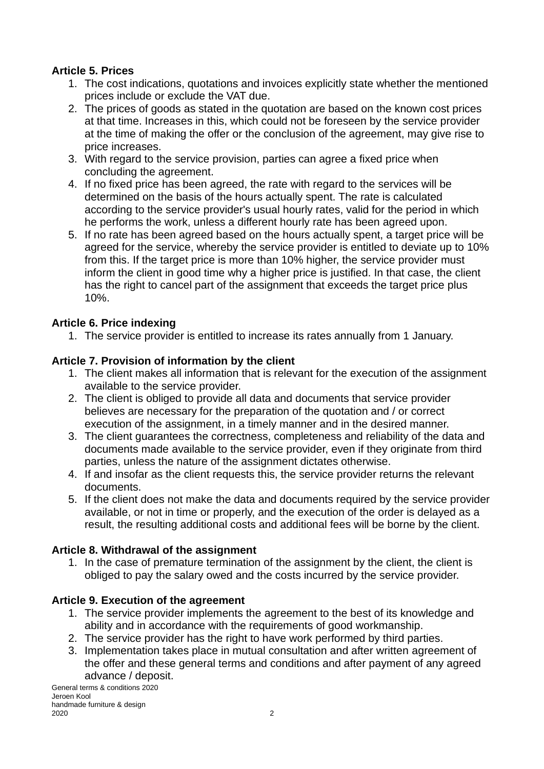### **Article 5. Prices**

- 1. The cost indications, quotations and invoices explicitly state whether the mentioned prices include or exclude the VAT due.
- 2. The prices of goods as stated in the quotation are based on the known cost prices at that time. Increases in this, which could not be foreseen by the service provider at the time of making the offer or the conclusion of the agreement, may give rise to price increases.
- 3. With regard to the service provision, parties can agree a fixed price when concluding the agreement.
- 4. If no fixed price has been agreed, the rate with regard to the services will be determined on the basis of the hours actually spent. The rate is calculated according to the service provider's usual hourly rates, valid for the period in which he performs the work, unless a different hourly rate has been agreed upon.
- 5. If no rate has been agreed based on the hours actually spent, a target price will be agreed for the service, whereby the service provider is entitled to deviate up to 10% from this. If the target price is more than 10% higher, the service provider must inform the client in good time why a higher price is justified. In that case, the client has the right to cancel part of the assignment that exceeds the target price plus 10%.

### **Article 6. Price indexing**

1. The service provider is entitled to increase its rates annually from 1 January.

### **Article 7. Provision of information by the client**

- 1. The client makes all information that is relevant for the execution of the assignment available to the service provider.
- 2. The client is obliged to provide all data and documents that service provider believes are necessary for the preparation of the quotation and / or correct execution of the assignment, in a timely manner and in the desired manner.
- 3. The client guarantees the correctness, completeness and reliability of the data and documents made available to the service provider, even if they originate from third parties, unless the nature of the assignment dictates otherwise.
- 4. If and insofar as the client requests this, the service provider returns the relevant documents.
- 5. If the client does not make the data and documents required by the service provider available, or not in time or properly, and the execution of the order is delayed as a result, the resulting additional costs and additional fees will be borne by the client.

### **Article 8. Withdrawal of the assignment**

1. In the case of premature termination of the assignment by the client, the client is obliged to pay the salary owed and the costs incurred by the service provider.

# **Article 9. Execution of the agreement**

- 1. The service provider implements the agreement to the best of its knowledge and ability and in accordance with the requirements of good workmanship.
- 2. The service provider has the right to have work performed by third parties.
- 3. Implementation takes place in mutual consultation and after written agreement of the offer and these general terms and conditions and after payment of any agreed advance / deposit.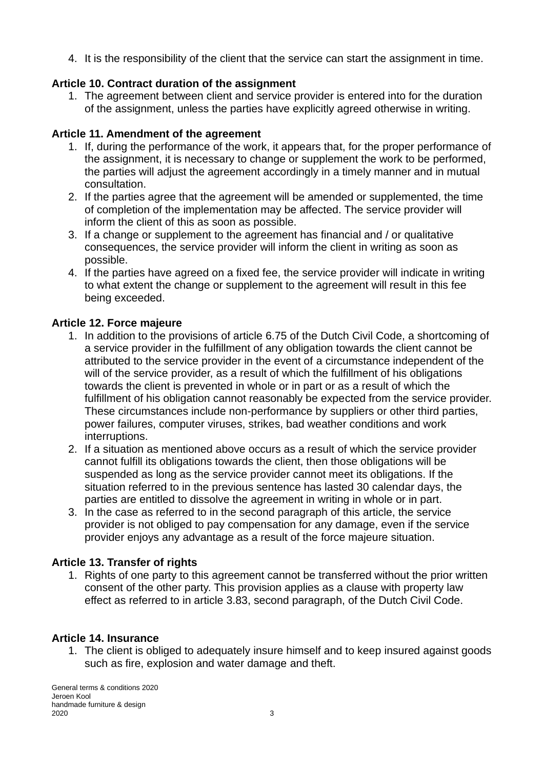4. It is the responsibility of the client that the service can start the assignment in time.

### **Article 10. Contract duration of the assignment**

1. The agreement between client and service provider is entered into for the duration of the assignment, unless the parties have explicitly agreed otherwise in writing.

### **Article 11. Amendment of the agreement**

- 1. If, during the performance of the work, it appears that, for the proper performance of the assignment, it is necessary to change or supplement the work to be performed, the parties will adjust the agreement accordingly in a timely manner and in mutual consultation.
- 2. If the parties agree that the agreement will be amended or supplemented, the time of completion of the implementation may be affected. The service provider will inform the client of this as soon as possible.
- 3. If a change or supplement to the agreement has financial and / or qualitative consequences, the service provider will inform the client in writing as soon as possible.
- 4. If the parties have agreed on a fixed fee, the service provider will indicate in writing to what extent the change or supplement to the agreement will result in this fee being exceeded.

#### **Article 12. Force majeure**

- 1. In addition to the provisions of article 6.75 of the Dutch Civil Code, a shortcoming of a service provider in the fulfillment of any obligation towards the client cannot be attributed to the service provider in the event of a circumstance independent of the will of the service provider, as a result of which the fulfillment of his obligations towards the client is prevented in whole or in part or as a result of which the fulfillment of his obligation cannot reasonably be expected from the service provider. These circumstances include non-performance by suppliers or other third parties, power failures, computer viruses, strikes, bad weather conditions and work interruptions.
- 2. If a situation as mentioned above occurs as a result of which the service provider cannot fulfill its obligations towards the client, then those obligations will be suspended as long as the service provider cannot meet its obligations. If the situation referred to in the previous sentence has lasted 30 calendar days, the parties are entitled to dissolve the agreement in writing in whole or in part.
- 3. In the case as referred to in the second paragraph of this article, the service provider is not obliged to pay compensation for any damage, even if the service provider enjoys any advantage as a result of the force majeure situation.

### **Article 13. Transfer of rights**

1. Rights of one party to this agreement cannot be transferred without the prior written consent of the other party. This provision applies as a clause with property law effect as referred to in article 3.83, second paragraph, of the Dutch Civil Code.

### **Article 14. Insurance**

1. The client is obliged to adequately insure himself and to keep insured against goods such as fire, explosion and water damage and theft.

General terms & conditions 2020 Jeroen Kool handmade furniture & design<br>2020  $2020$  3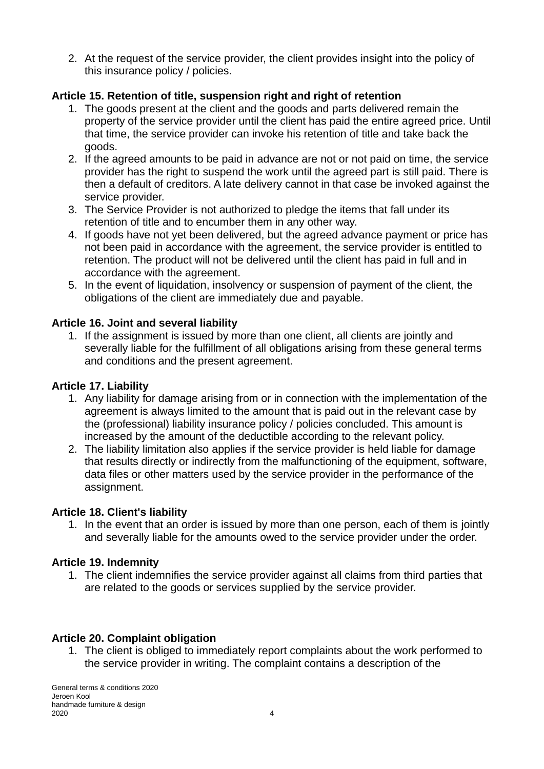2. At the request of the service provider, the client provides insight into the policy of this insurance policy / policies.

# **Article 15. Retention of title, suspension right and right of retention**

- 1. The goods present at the client and the goods and parts delivered remain the property of the service provider until the client has paid the entire agreed price. Until that time, the service provider can invoke his retention of title and take back the goods.
- 2. If the agreed amounts to be paid in advance are not or not paid on time, the service provider has the right to suspend the work until the agreed part is still paid. There is then a default of creditors. A late delivery cannot in that case be invoked against the service provider.
- 3. The Service Provider is not authorized to pledge the items that fall under its retention of title and to encumber them in any other way.
- 4. If goods have not yet been delivered, but the agreed advance payment or price has not been paid in accordance with the agreement, the service provider is entitled to retention. The product will not be delivered until the client has paid in full and in accordance with the agreement.
- 5. In the event of liquidation, insolvency or suspension of payment of the client, the obligations of the client are immediately due and payable.

### **Article 16. Joint and several liability**

1. If the assignment is issued by more than one client, all clients are jointly and severally liable for the fulfillment of all obligations arising from these general terms and conditions and the present agreement.

# **Article 17. Liability**

- 1. Any liability for damage arising from or in connection with the implementation of the agreement is always limited to the amount that is paid out in the relevant case by the (professional) liability insurance policy / policies concluded. This amount is increased by the amount of the deductible according to the relevant policy.
- 2. The liability limitation also applies if the service provider is held liable for damage that results directly or indirectly from the malfunctioning of the equipment, software, data files or other matters used by the service provider in the performance of the assignment.

# **Article 18. Client's liability**

1. In the event that an order is issued by more than one person, each of them is jointly and severally liable for the amounts owed to the service provider under the order.

# **Article 19. Indemnity**

1. The client indemnifies the service provider against all claims from third parties that are related to the goods or services supplied by the service provider.

# **Article 20. Complaint obligation**

1. The client is obliged to immediately report complaints about the work performed to the service provider in writing. The complaint contains a description of the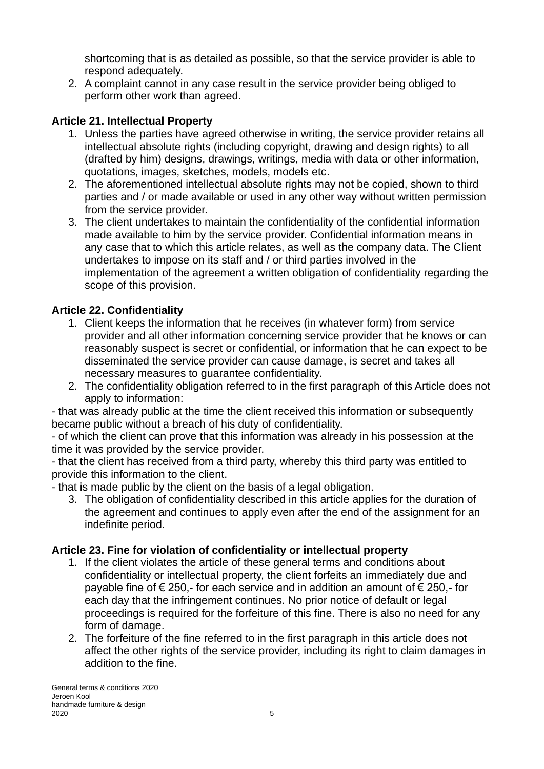shortcoming that is as detailed as possible, so that the service provider is able to respond adequately.

2. A complaint cannot in any case result in the service provider being obliged to perform other work than agreed.

# **Article 21. Intellectual Property**

- 1. Unless the parties have agreed otherwise in writing, the service provider retains all intellectual absolute rights (including copyright, drawing and design rights) to all (drafted by him) designs, drawings, writings, media with data or other information, quotations, images, sketches, models, models etc.
- 2. The aforementioned intellectual absolute rights may not be copied, shown to third parties and / or made available or used in any other way without written permission from the service provider.
- 3. The client undertakes to maintain the confidentiality of the confidential information made available to him by the service provider. Confidential information means in any case that to which this article relates, as well as the company data. The Client undertakes to impose on its staff and / or third parties involved in the implementation of the agreement a written obligation of confidentiality regarding the scope of this provision.

# **Article 22. Confidentiality**

- 1. Client keeps the information that he receives (in whatever form) from service provider and all other information concerning service provider that he knows or can reasonably suspect is secret or confidential, or information that he can expect to be disseminated the service provider can cause damage, is secret and takes all necessary measures to guarantee confidentiality.
- 2. The confidentiality obligation referred to in the first paragraph of this Article does not apply to information:

- that was already public at the time the client received this information or subsequently became public without a breach of his duty of confidentiality.

- of which the client can prove that this information was already in his possession at the time it was provided by the service provider.

- that the client has received from a third party, whereby this third party was entitled to provide this information to the client.

- that is made public by the client on the basis of a legal obligation.

3. The obligation of confidentiality described in this article applies for the duration of the agreement and continues to apply even after the end of the assignment for an indefinite period.

### **Article 23. Fine for violation of confidentiality or intellectual property**

- 1. If the client violates the article of these general terms and conditions about confidentiality or intellectual property, the client forfeits an immediately due and payable fine of € 250,- for each service and in addition an amount of € 250,- for each day that the infringement continues. No prior notice of default or legal proceedings is required for the forfeiture of this fine. There is also no need for any form of damage.
- 2. The forfeiture of the fine referred to in the first paragraph in this article does not affect the other rights of the service provider, including its right to claim damages in addition to the fine.